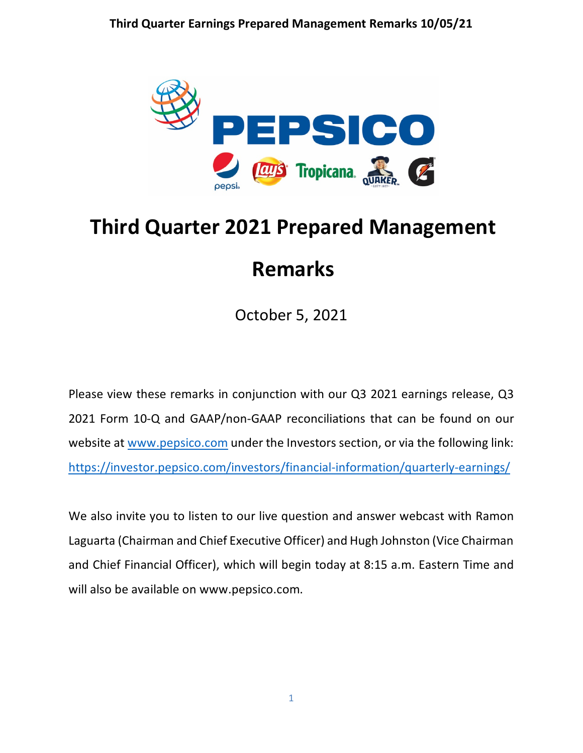

# **Third Quarter 2021 Prepared Management Remarks**

October 5, 2021

Please view these remarks in conjunction with our Q3 2021 earnings release, Q3 2021 Form 10-Q and GAAP/non-GAAP reconciliations that can be found on our website at [www.pepsico.com](http://www.pepsico.com/) under the Investors section, or via the following link: <https://investor.pepsico.com/investors/financial-information/quarterly-earnings/>

We also invite you to listen to our live question and answer webcast with Ramon Laguarta (Chairman and Chief Executive Officer) and Hugh Johnston (Vice Chairman and Chief Financial Officer), which will begin today at 8:15 a.m. Eastern Time and will also be available on www.pepsico.com.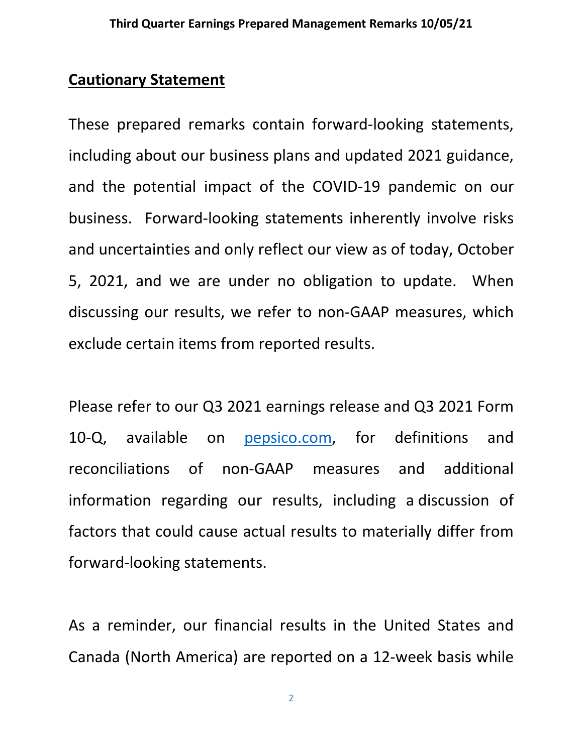# **Cautionary Statement**

These prepared remarks contain forward-looking statements, including about our business plans and updated 2021 guidance, and the potential impact of the COVID-19 pandemic on our business. Forward-looking statements inherently involve risks and uncertainties and only reflect our view as of today, October 5, 2021, and we are under no obligation to update. When discussing our results, we refer to non-GAAP measures, which exclude certain items from reported results.

Please refer to our Q3 2021 earnings release and Q3 2021 Form 10-Q, available on [pepsico.com,](http://pepsico.com/) for definitions and reconciliations of non-GAAP measures and additional information regarding our results, including a discussion of factors that could cause actual results to materially differ from forward-looking statements.

As a reminder, our financial results in the United States and Canada (North America) are reported on a 12-week basis while

2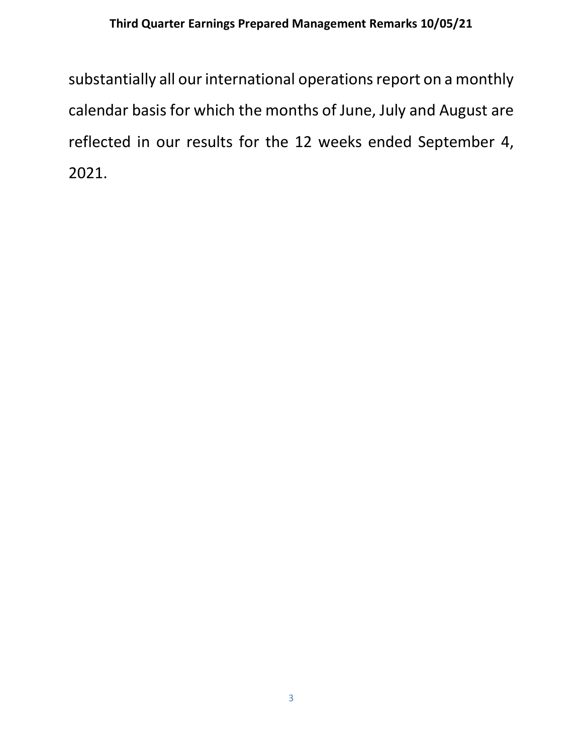substantially all our international operations report on a monthly calendar basis for which the months of June, July and August are reflected in our results for the 12 weeks ended September 4, 2021.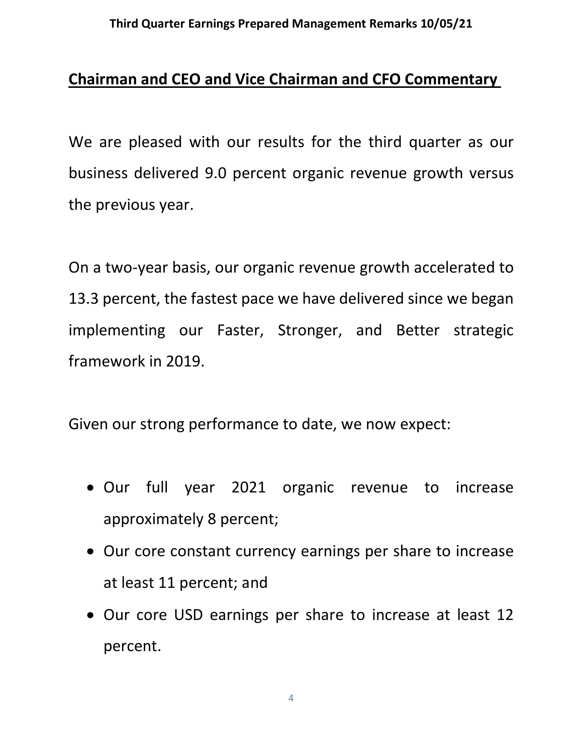# **Chairman and CEO and Vice Chairman and CFO Commentary**

We are pleased with our results for the third quarter as our business delivered 9.0 percent organic revenue growth versus the previous year.

On a two-year basis, our organic revenue growth accelerated to 13.3 percent, the fastest pace we have delivered since we began implementing our Faster, Stronger, and Better strategic framework in 2019.

Given our strong performance to date, we now expect:

- Our full year 2021 organic revenue to increase approximately 8 percent;
- Our core constant currency earnings per share to increase at least 11 percent; and
- Our core USD earnings per share to increase at least 12 percent.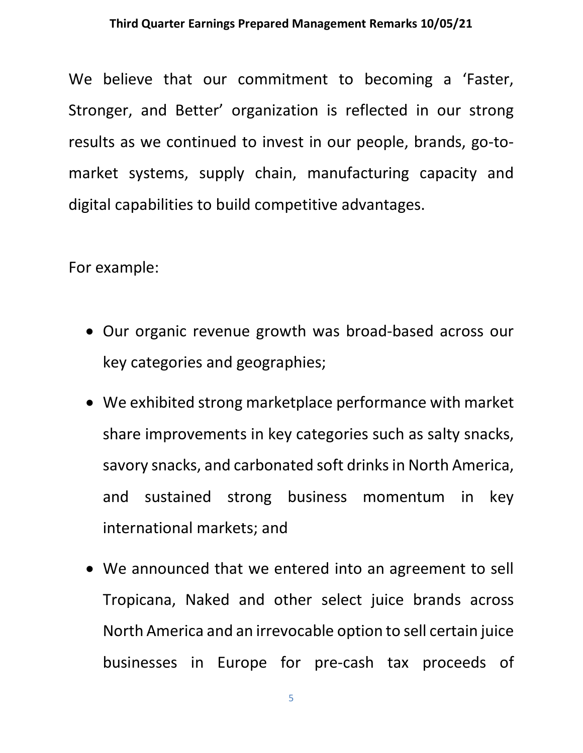We believe that our commitment to becoming a 'Faster, Stronger, and Better' organization is reflected in our strong results as we continued to invest in our people, brands, go-tomarket systems, supply chain, manufacturing capacity and digital capabilities to build competitive advantages.

For example:

- Our organic revenue growth was broad-based across our key categories and geographies;
- We exhibited strong marketplace performance with market share improvements in key categories such as salty snacks, savory snacks, and carbonated soft drinksin North America, and sustained strong business momentum in key international markets; and
- We announced that we entered into an agreement to sell Tropicana, Naked and other select juice brands across North America and an irrevocable option to sell certain juice businesses in Europe for pre-cash tax proceeds of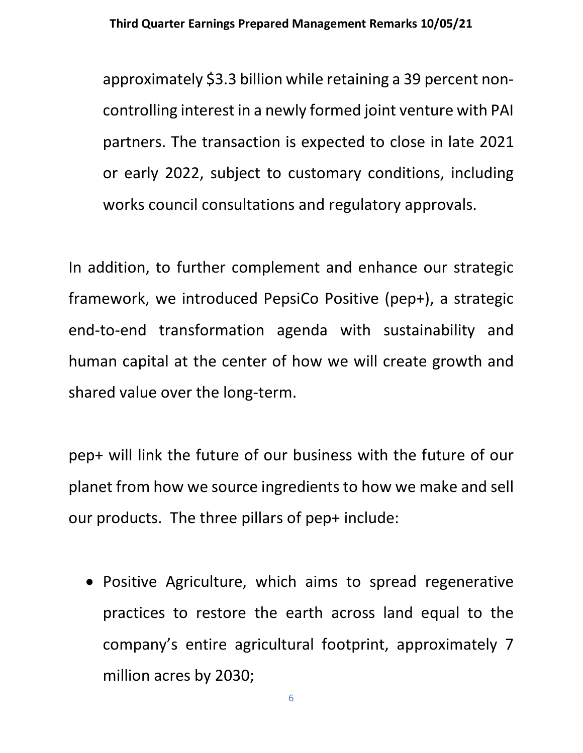approximately \$3.3 billion while retaining a 39 percent noncontrolling interest in a newly formed joint venture with PAI partners. The transaction is expected to close in late 2021 or early 2022, subject to customary conditions, including works council consultations and regulatory approvals.

In addition, to further complement and enhance our strategic framework, we introduced PepsiCo Positive (pep+), a strategic end-to-end transformation agenda with sustainability and human capital at the center of how we will create growth and shared value over the long-term.

pep+ will link the future of our business with the future of our planet from how we source ingredients to how we make and sell our products. The three pillars of pep+ include:

• Positive Agriculture, which aims to spread regenerative practices to restore the earth across land equal to the company's entire agricultural footprint, approximately 7 million acres by 2030;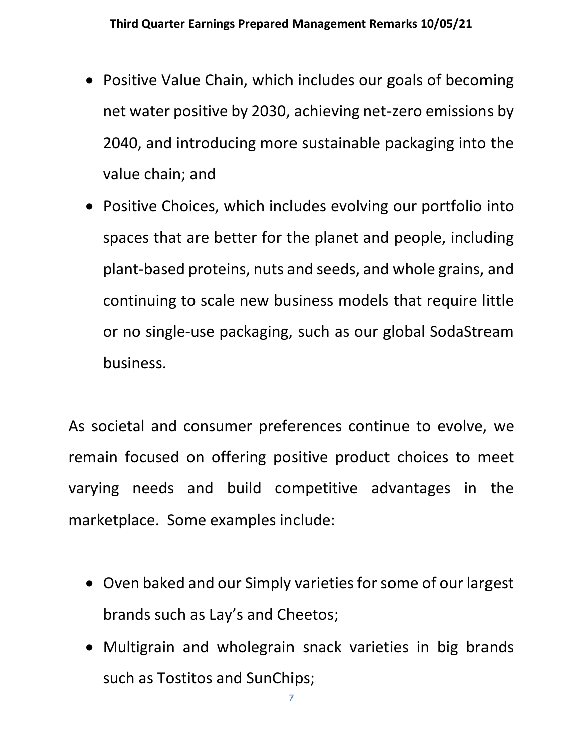- Positive Value Chain, which includes our goals of becoming net water positive by 2030, achieving net-zero emissions by 2040, and introducing more sustainable packaging into the value chain; and
- Positive Choices, which includes evolving our portfolio into spaces that are better for the planet and people, including plant-based proteins, nuts and seeds, and whole grains, and continuing to scale new business models that require little or no single-use packaging, such as our global SodaStream business.

As societal and consumer preferences continue to evolve, we remain focused on offering positive product choices to meet varying needs and build competitive advantages in the marketplace. Some examples include:

- Oven baked and our Simply varieties for some of our largest brands such as Lay's and Cheetos;
- Multigrain and wholegrain snack varieties in big brands such as Tostitos and SunChips;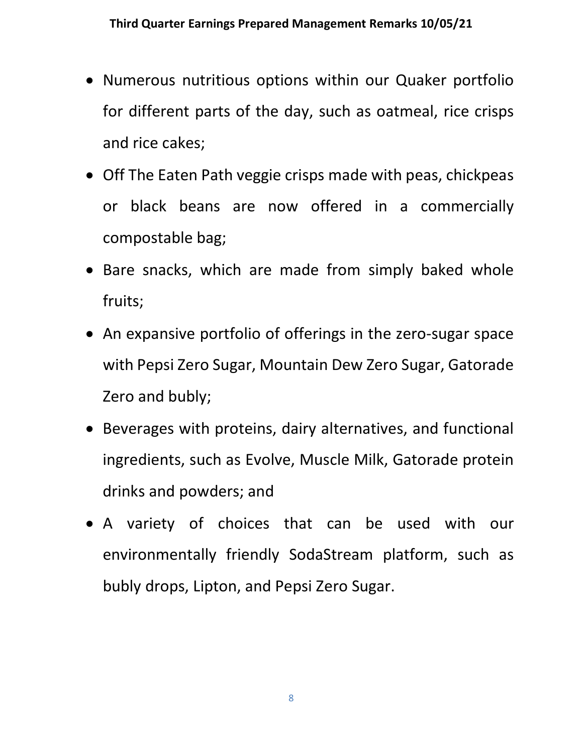- Numerous nutritious options within our Quaker portfolio for different parts of the day, such as oatmeal, rice crisps and rice cakes;
- Off The Eaten Path veggie crisps made with peas, chickpeas or black beans are now offered in a commercially compostable bag;
- Bare snacks, which are made from simply baked whole fruits;
- An expansive portfolio of offerings in the zero-sugar space with Pepsi Zero Sugar, Mountain Dew Zero Sugar, Gatorade Zero and bubly;
- Beverages with proteins, dairy alternatives, and functional ingredients, such as Evolve, Muscle Milk, Gatorade protein drinks and powders; and
- A variety of choices that can be used with our environmentally friendly SodaStream platform, such as bubly drops, Lipton, and Pepsi Zero Sugar.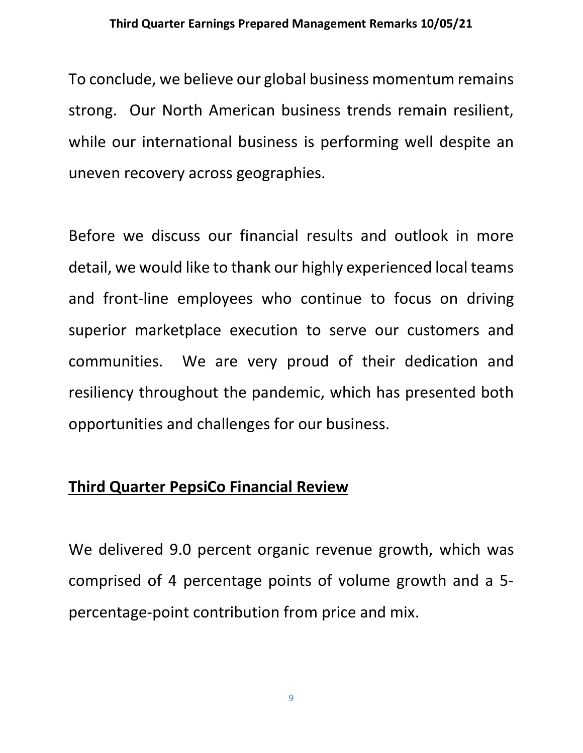To conclude, we believe our global business momentum remains strong. Our North American business trends remain resilient, while our international business is performing well despite an uneven recovery across geographies.

Before we discuss our financial results and outlook in more detail, we would like to thank our highly experienced local teams and front-line employees who continue to focus on driving superior marketplace execution to serve our customers and communities. We are very proud of their dedication and resiliency throughout the pandemic, which has presented both opportunities and challenges for our business.

# **Third Quarter PepsiCo Financial Review**

We delivered 9.0 percent organic revenue growth, which was comprised of 4 percentage points of volume growth and a 5 percentage-point contribution from price and mix.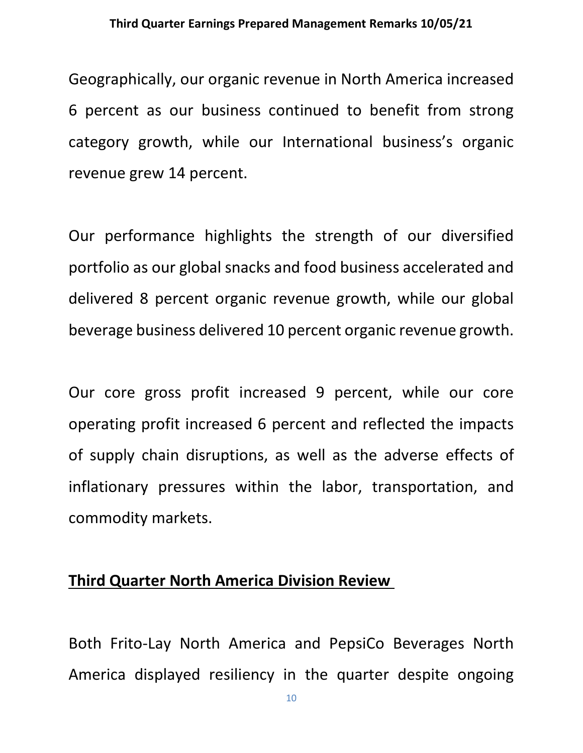Geographically, our organic revenue in North America increased 6 percent as our business continued to benefit from strong category growth, while our International business's organic revenue grew 14 percent.

Our performance highlights the strength of our diversified portfolio as our global snacks and food business accelerated and delivered 8 percent organic revenue growth, while our global beverage business delivered 10 percent organic revenue growth.

Our core gross profit increased 9 percent, while our core operating profit increased 6 percent and reflected the impacts of supply chain disruptions, as well as the adverse effects of inflationary pressures within the labor, transportation, and commodity markets.

## **Third Quarter North America Division Review**

Both Frito-Lay North America and PepsiCo Beverages North America displayed resiliency in the quarter despite ongoing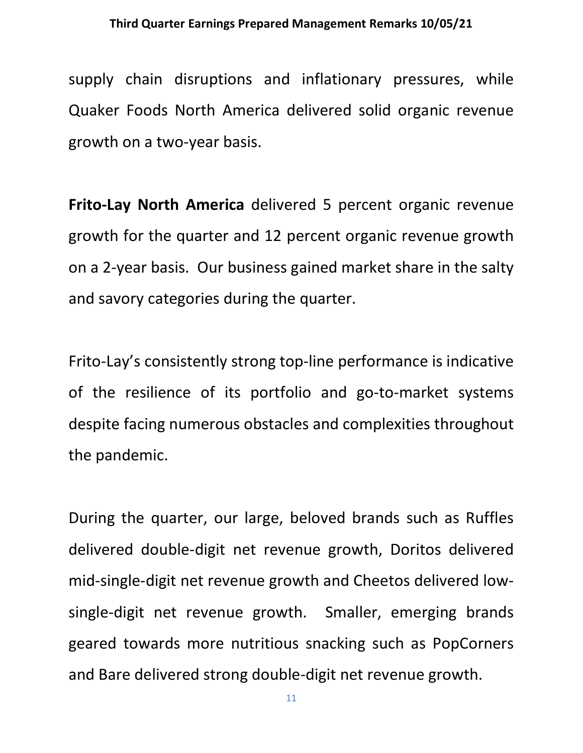supply chain disruptions and inflationary pressures, while Quaker Foods North America delivered solid organic revenue growth on a two-year basis.

**Frito-Lay North America** delivered 5 percent organic revenue growth for the quarter and 12 percent organic revenue growth on a 2-year basis. Our business gained market share in the salty and savory categories during the quarter.

Frito-Lay's consistently strong top-line performance is indicative of the resilience of its portfolio and go-to-market systems despite facing numerous obstacles and complexities throughout the pandemic.

During the quarter, our large, beloved brands such as Ruffles delivered double-digit net revenue growth, Doritos delivered mid-single-digit net revenue growth and Cheetos delivered lowsingle-digit net revenue growth. Smaller, emerging brands geared towards more nutritious snacking such as PopCorners and Bare delivered strong double-digit net revenue growth.

11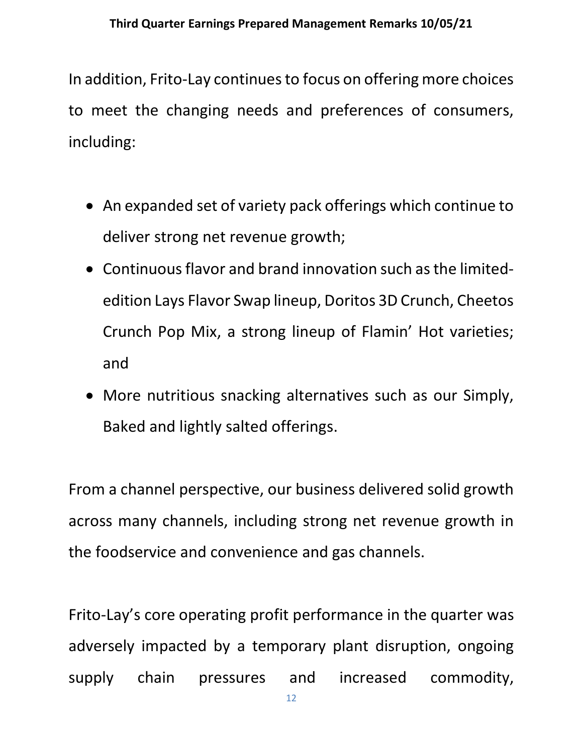In addition, Frito-Lay continues to focus on offering more choices to meet the changing needs and preferences of consumers, including:

- An expanded set of variety pack offerings which continue to deliver strong net revenue growth;
- Continuous flavor and brand innovation such as the limitededition Lays Flavor Swap lineup, Doritos 3D Crunch, Cheetos Crunch Pop Mix, a strong lineup of Flamin' Hot varieties; and
- More nutritious snacking alternatives such as our Simply, Baked and lightly salted offerings.

From a channel perspective, our business delivered solid growth across many channels, including strong net revenue growth in the foodservice and convenience and gas channels.

Frito-Lay's core operating profit performance in the quarter was adversely impacted by a temporary plant disruption, ongoing supply chain pressures and increased commodity,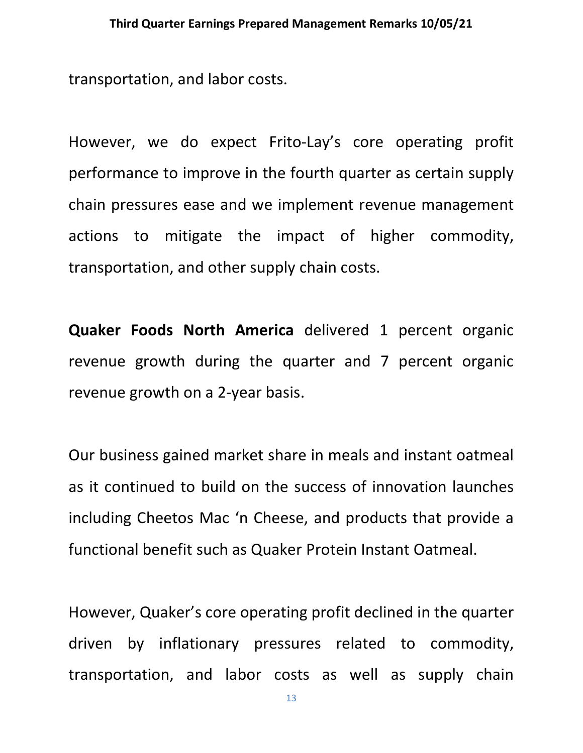transportation, and labor costs.

However, we do expect Frito-Lay's core operating profit performance to improve in the fourth quarter as certain supply chain pressures ease and we implement revenue management actions to mitigate the impact of higher commodity, transportation, and other supply chain costs.

**Quaker Foods North America** delivered 1 percent organic revenue growth during the quarter and 7 percent organic revenue growth on a 2-year basis.

Our business gained market share in meals and instant oatmeal as it continued to build on the success of innovation launches including Cheetos Mac 'n Cheese, and products that provide a functional benefit such as Quaker Protein Instant Oatmeal.

However, Quaker's core operating profit declined in the quarter driven by inflationary pressures related to commodity, transportation, and labor costs as well as supply chain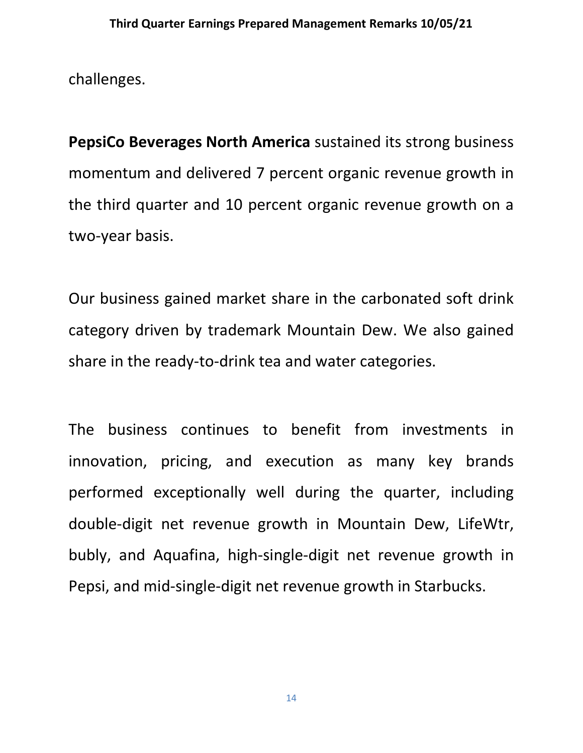challenges.

**PepsiCo Beverages North America** sustained its strong business momentum and delivered 7 percent organic revenue growth in the third quarter and 10 percent organic revenue growth on a two-year basis.

Our business gained market share in the carbonated soft drink category driven by trademark Mountain Dew. We also gained share in the ready-to-drink tea and water categories.

The business continues to benefit from investments in innovation, pricing, and execution as many key brands performed exceptionally well during the quarter, including double-digit net revenue growth in Mountain Dew, LifeWtr, bubly, and Aquafina, high-single-digit net revenue growth in Pepsi, and mid-single-digit net revenue growth in Starbucks.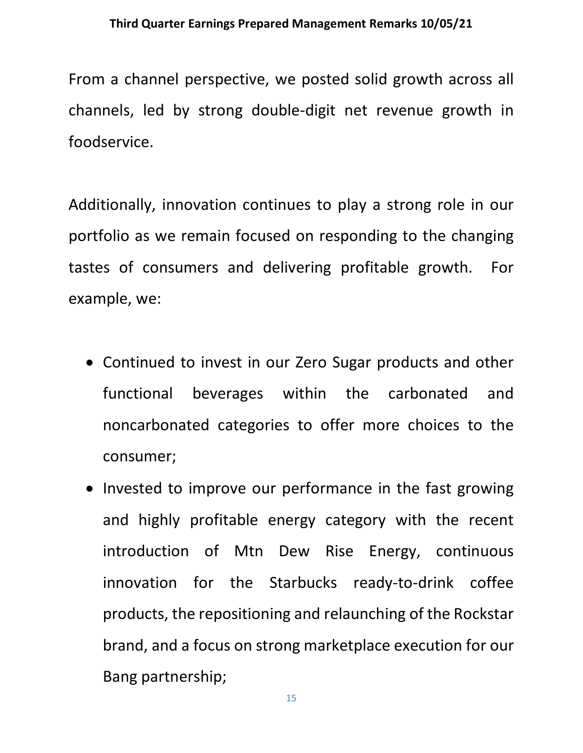From a channel perspective, we posted solid growth across all channels, led by strong double-digit net revenue growth in foodservice.

Additionally, innovation continues to play a strong role in our portfolio as we remain focused on responding to the changing tastes of consumers and delivering profitable growth. For example, we:

- Continued to invest in our Zero Sugar products and other functional beverages within the carbonated and noncarbonated categories to offer more choices to the consumer;
- Invested to improve our performance in the fast growing and highly profitable energy category with the recent introduction of Mtn Dew Rise Energy, continuous innovation for the Starbucks ready-to-drink coffee products, the repositioning and relaunching of the Rockstar brand, and a focus on strong marketplace execution for our Bang partnership;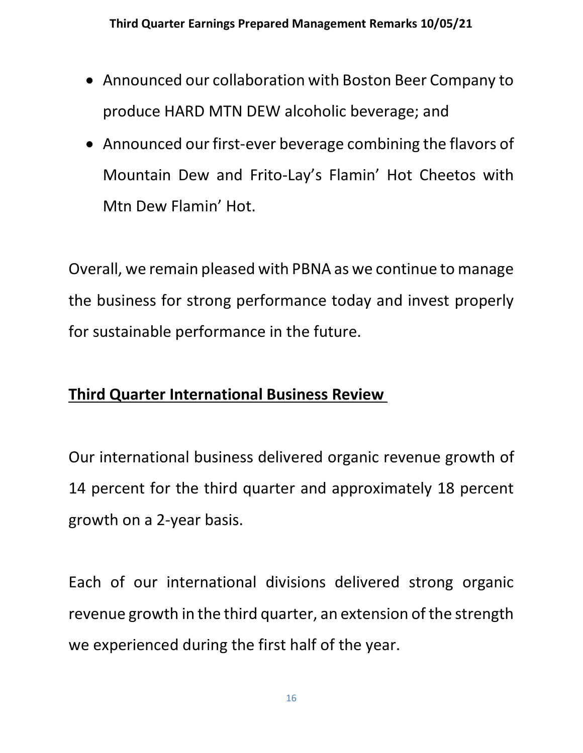- Announced our collaboration with Boston Beer Company to produce HARD MTN DEW alcoholic beverage; and
- Announced our first-ever beverage combining the flavors of Mountain Dew and Frito-Lay's Flamin' Hot Cheetos with Mtn Dew Flamin' Hot.

Overall, we remain pleased with PBNA as we continue to manage the business for strong performance today and invest properly for sustainable performance in the future.

# **Third Quarter International Business Review**

Our international business delivered organic revenue growth of 14 percent for the third quarter and approximately 18 percent growth on a 2-year basis.

Each of our international divisions delivered strong organic revenue growth in the third quarter, an extension of the strength we experienced during the first half of the year.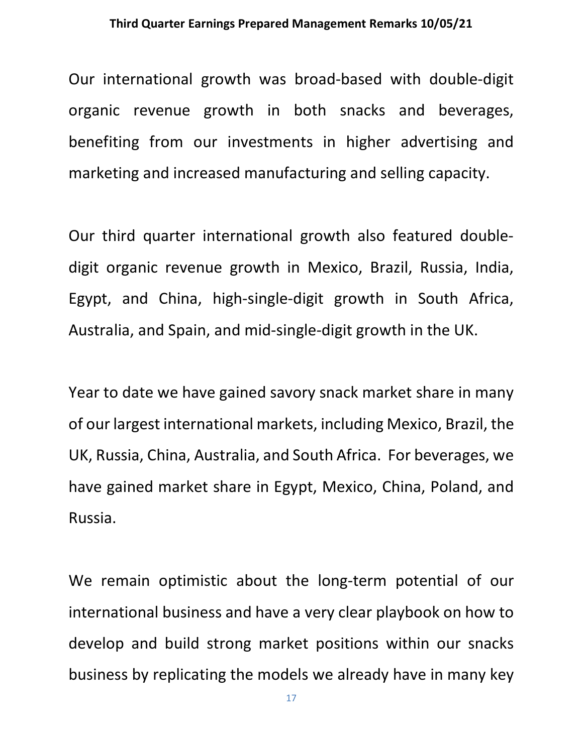Our international growth was broad-based with double-digit organic revenue growth in both snacks and beverages, benefiting from our investments in higher advertising and marketing and increased manufacturing and selling capacity.

Our third quarter international growth also featured doubledigit organic revenue growth in Mexico, Brazil, Russia, India, Egypt, and China, high-single-digit growth in South Africa, Australia, and Spain, and mid-single-digit growth in the UK.

Year to date we have gained savory snack market share in many of our largest international markets, including Mexico, Brazil, the UK, Russia, China, Australia, and South Africa. For beverages, we have gained market share in Egypt, Mexico, China, Poland, and Russia.

We remain optimistic about the long-term potential of our international business and have a very clear playbook on how to develop and build strong market positions within our snacks business by replicating the models we already have in many key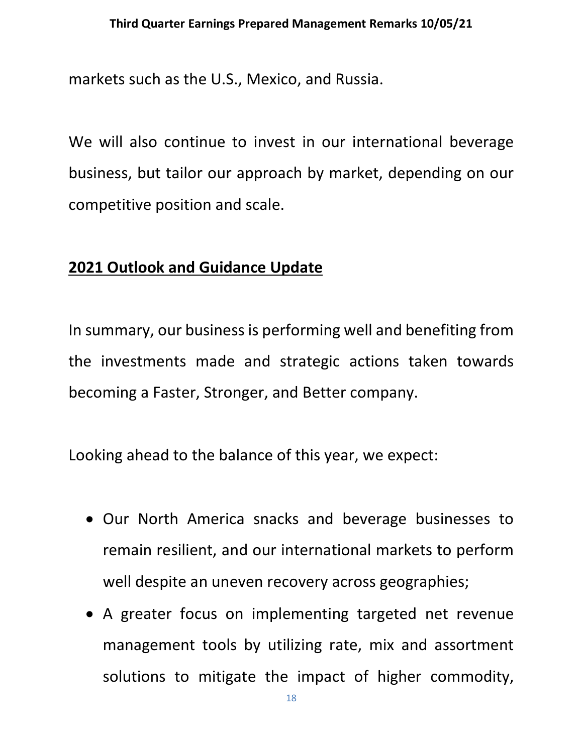markets such as the U.S., Mexico, and Russia.

We will also continue to invest in our international beverage business, but tailor our approach by market, depending on our competitive position and scale.

# **2021 Outlook and Guidance Update**

In summary, our business is performing well and benefiting from the investments made and strategic actions taken towards becoming a Faster, Stronger, and Better company.

Looking ahead to the balance of this year, we expect:

- Our North America snacks and beverage businesses to remain resilient, and our international markets to perform well despite an uneven recovery across geographies;
- A greater focus on implementing targeted net revenue management tools by utilizing rate, mix and assortment solutions to mitigate the impact of higher commodity,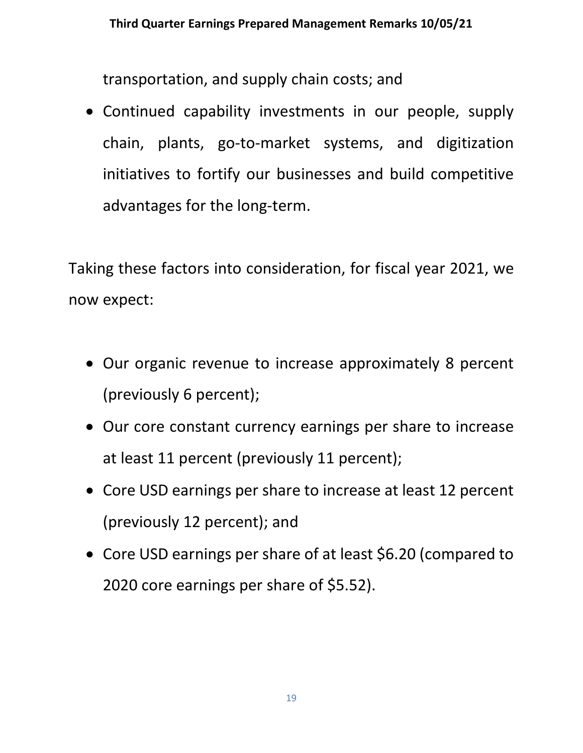transportation, and supply chain costs; and

• Continued capability investments in our people, supply chain, plants, go-to-market systems, and digitization initiatives to fortify our businesses and build competitive advantages for the long-term.

Taking these factors into consideration, for fiscal year 2021, we now expect:

- Our organic revenue to increase approximately 8 percent (previously 6 percent);
- Our core constant currency earnings per share to increase at least 11 percent (previously 11 percent);
- Core USD earnings per share to increase at least 12 percent (previously 12 percent); and
- Core USD earnings per share of at least \$6.20 (compared to 2020 core earnings per share of \$5.52).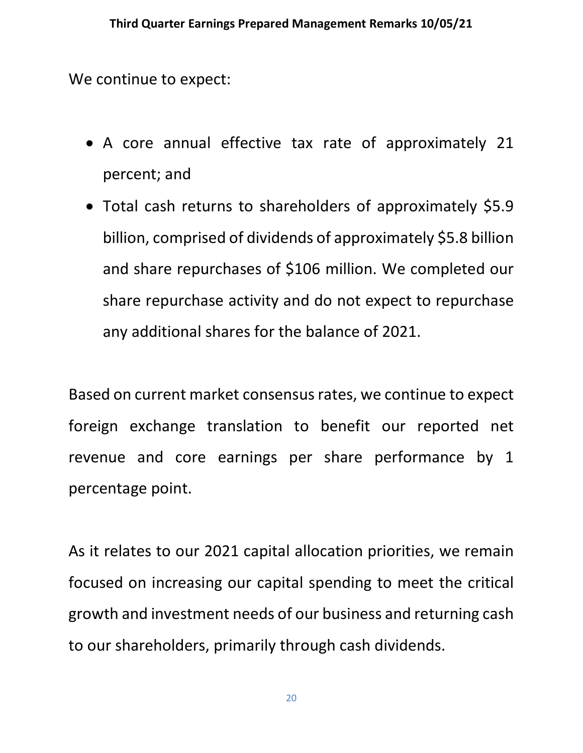We continue to expect:

- A core annual effective tax rate of approximately 21 percent; and
- Total cash returns to shareholders of approximately \$5.9 billion, comprised of dividends of approximately \$5.8 billion and share repurchases of \$106 million. We completed our share repurchase activity and do not expect to repurchase any additional shares for the balance of 2021.

Based on current market consensus rates, we continue to expect foreign exchange translation to benefit our reported net revenue and core earnings per share performance by 1 percentage point.

As it relates to our 2021 capital allocation priorities, we remain focused on increasing our capital spending to meet the critical growth and investment needs of our business and returning cash to our shareholders, primarily through cash dividends.